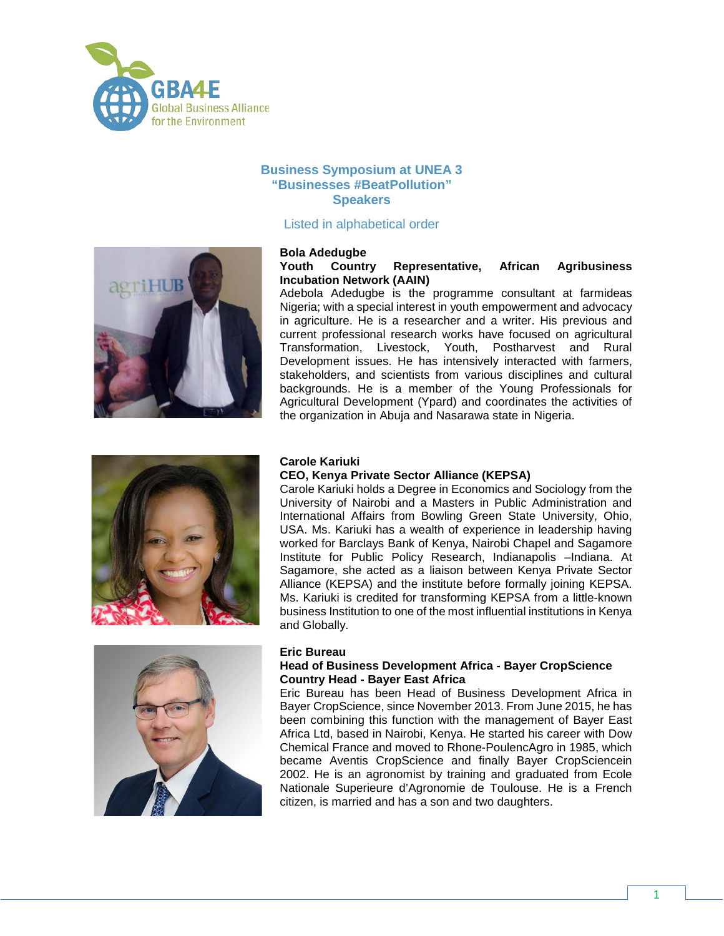

# **Business Symposium at UNEA 3 "Businesses #BeatPollution" Speakers**

# Listed in alphabetical order



### **Bola Adedugbe Youth Country Representative, African Agribusiness Incubation Network (AAIN)**

Adebola Adedugbe is the programme consultant at farmideas Nigeria; with a special interest in youth empowerment and advocacy in agriculture. He is a researcher and a writer. His previous and current professional research works have focused on agricultural Transformation, Livestock, Youth, Postharvest and Rural Development issues. He has intensively interacted with farmers, stakeholders, and scientists from various disciplines and cultural backgrounds. He is a member of the Young Professionals for Agricultural Development (Ypard) and coordinates the activities of the organization in Abuja and Nasarawa state in Nigeria.



## **Carole Kariuki**

## **CEO, Kenya Private Sector Alliance (KEPSA)**

Carole Kariuki holds a Degree in Economics and Sociology from the University of Nairobi and a Masters in Public Administration and International Affairs from Bowling Green State University, Ohio, USA. Ms. Kariuki has a wealth of experience in leadership having worked for Barclays Bank of Kenya, Nairobi Chapel and Sagamore Institute for Public Policy Research, Indianapolis –Indiana. At Sagamore, she acted as a liaison between Kenya Private Sector Alliance (KEPSA) and the institute before formally joining KEPSA. Ms. Kariuki is credited for transforming KEPSA from a little-known business Institution to one of the most influential institutions in Kenya and Globally.



### **Eric Bureau**

## **Head of Business Development Africa - Bayer CropScience Country Head - Bayer East Africa**

Eric Bureau has been Head of Business Development Africa in Bayer CropScience, since November 2013. From June 2015, he has been combining this function with the management of Bayer East Africa Ltd, based in Nairobi, Kenya. He started his career with Dow Chemical France and moved to Rhone-PoulencAgro in 1985, which became Aventis CropScience and finally Bayer CropSciencein 2002. He is an agronomist by training and graduated from Ecole Nationale Superieure d'Agronomie de Toulouse. He is a French citizen, is married and has a son and two daughters.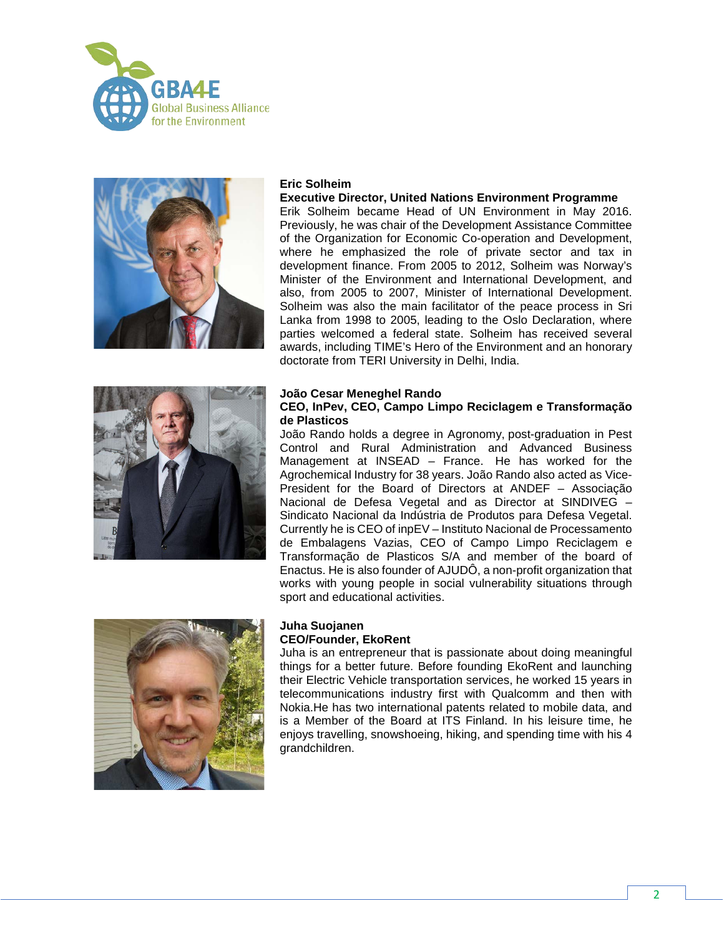



## **Eric Solheim**

### **Executive Director, United Nations Environment Programme**

Erik Solheim became Head of UN Environment in May 2016. Previously, he was chair of the Development Assistance Committee of the Organization for Economic Co-operation and Development, where he emphasized the role of private sector and tax in development finance. From 2005 to 2012, Solheim was Norway's Minister of the Environment and International Development, and also, from 2005 to 2007, Minister of International Development. Solheim was also the main facilitator of the peace process in Sri Lanka from 1998 to 2005, leading to the Oslo Declaration, where parties welcomed a federal state. Solheim has received several awards, including TIME's Hero of the Environment and an honorary doctorate from TERI University in Delhi, India.



#### **João Cesar Meneghel Rando**

## **CEO, InPev, CEO, Campo Limpo Reciclagem e Transformação de Plasticos**

João Rando holds a degree in Agronomy, post-graduation in Pest Control and Rural Administration and Advanced Business Management at INSEAD – France. He has worked for the Agrochemical Industry for 38 years. João Rando also acted as Vice-President for the Board of Directors at ANDEF – Associação Nacional de Defesa Vegetal and as Director at SINDIVEG – Sindicato Nacional da Indústria de Produtos para Defesa Vegetal. Currently he is CEO of inpEV – Instituto Nacional de Processamento de Embalagens Vazias, CEO of Campo Limpo Reciclagem e Transformação de Plasticos S/A and member of the board of Enactus. He is also founder of AJUDÔ, a non-profit organization that works with young people in social vulnerability situations through sport and educational activities.



#### **Juha Suojanen CEO/Founder, EkoRent**

Juha is an entrepreneur that is passionate about doing meaningful things for a better future. Before founding EkoRent and launching their Electric Vehicle transportation services, he worked 15 years in telecommunications industry first with Qualcomm and then with Nokia.He has two international patents related to mobile data, and is a Member of the Board at ITS Finland. In his leisure time, he enjoys travelling, snowshoeing, hiking, and spending time with his 4 grandchildren.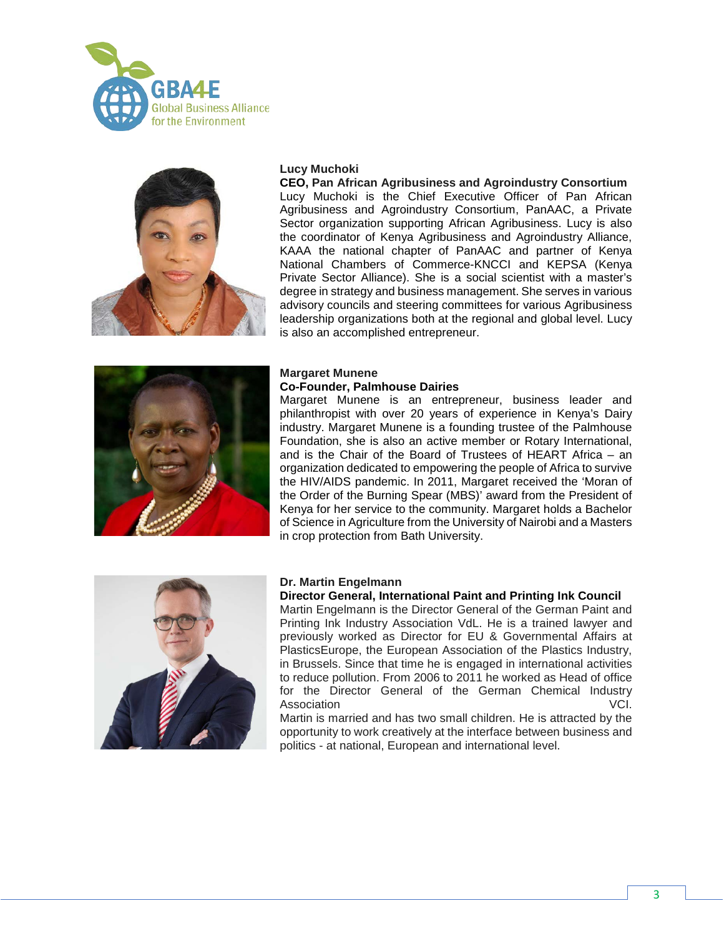



## **Lucy Muchoki**

**CEO, Pan African Agribusiness and Agroindustry Consortium** Lucy Muchoki is the Chief Executive Officer of Pan African Agribusiness and Agroindustry Consortium, PanAAC, a Private Sector organization supporting African Agribusiness. Lucy is also the coordinator of Kenya Agribusiness and Agroindustry Alliance, KAAA the national chapter of PanAAC and partner of Kenya National Chambers of Commerce-KNCCI and KEPSA (Kenya Private Sector Alliance). She is a social scientist with a master's degree in strategy and business management. She serves in various advisory councils and steering committees for various Agribusiness leadership organizations both at the regional and global level. Lucy is also an accomplished entrepreneur.



#### **Margaret Munene Co-Founder, Palmhouse Dairies**

Margaret Munene is an entrepreneur, business leader and philanthropist with over 20 years of experience in Kenya's Dairy industry. Margaret Munene is a founding trustee of the Palmhouse Foundation, she is also an active member or Rotary International, and is the Chair of the Board of Trustees of HEART Africa – an organization dedicated to empowering the people of Africa to survive the HIV/AIDS pandemic. In 2011, Margaret received the 'Moran of the Order of the Burning Spear (MBS)' award from the President of Kenya for her service to the community. Margaret holds a Bachelor of Science in Agriculture from the University of Nairobi and a Masters in crop protection from Bath University.



## **Dr. Martin Engelmann**

#### **Director General, International Paint and Printing Ink Council**

Martin Engelmann is the Director General of the German Paint and Printing Ink Industry Association VdL. He is a trained lawyer and previously worked as Director for EU & Governmental Affairs at PlasticsEurope, the European Association of the Plastics Industry, in Brussels. Since that time he is engaged in international activities to reduce pollution. From 2006 to 2011 he worked as Head of office for the Director General of the German Chemical Industry Association **VCI.** 

Martin is married and has two small children. He is attracted by the opportunity to work creatively at the interface between business and politics - at national, European and international level.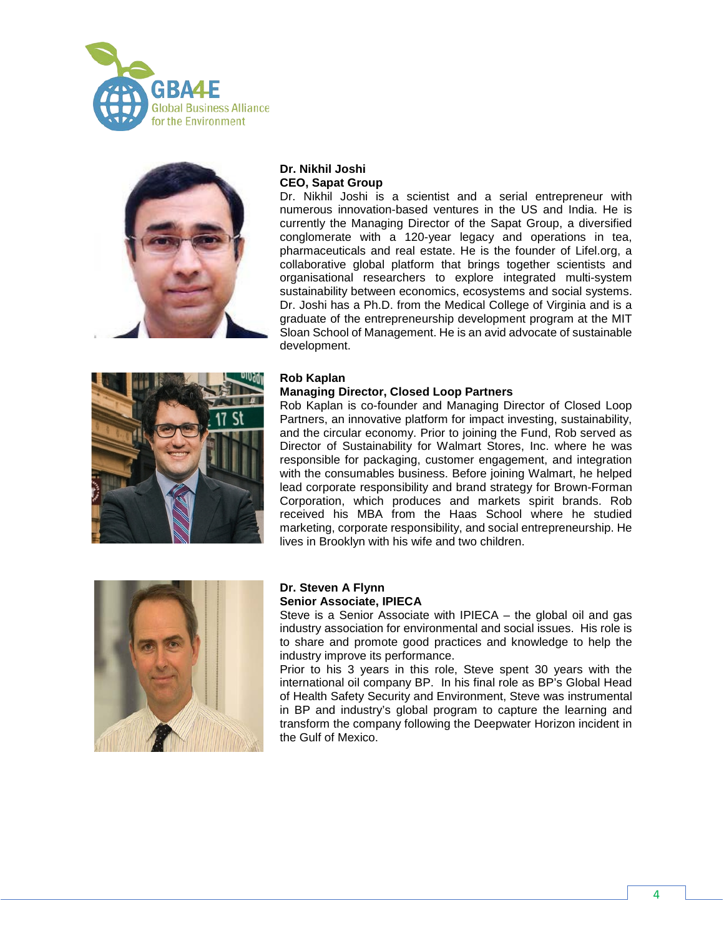



# **Dr. Nikhil Joshi CEO, Sapat Group**

Dr. Nikhil Joshi is a scientist and a serial entrepreneur with numerous innovation-based ventures in the US and India. He is currently the Managing Director of the Sapat Group, a diversified conglomerate with a 120-year legacy and operations in tea, pharmaceuticals and real estate. He is the founder of Lifel.org, a collaborative global platform that brings together scientists and organisational researchers to explore integrated multi-system sustainability between economics, ecosystems and social systems. Dr. Joshi has a Ph.D. from the Medical College of Virginia and is a graduate of the entrepreneurship development program at the MIT Sloan School of Management. He is an avid advocate of sustainable development.



## **Rob Kaplan**

## **Managing Director, Closed Loop Partners**

Rob Kaplan is co-founder and Managing Director of Closed Loop Partners, an innovative platform for impact investing, sustainability, and the circular economy. Prior to joining the Fund, Rob served as Director of Sustainability for Walmart Stores, Inc. where he was responsible for packaging, customer engagement, and integration with the consumables business. Before joining Walmart, he helped lead corporate responsibility and brand strategy for Brown-Forman Corporation, which produces and markets spirit brands. Rob received his MBA from the Haas School where he studied marketing, corporate responsibility, and social entrepreneurship. He lives in Brooklyn with his wife and two children.



## **Dr. Steven A Flynn Senior Associate, IPIECA**

Steve is a Senior Associate with IPIECA – the global oil and gas industry association for environmental and social issues. His role is to share and promote good practices and knowledge to help the industry improve its performance.

Prior to his 3 years in this role, Steve spent 30 years with the international oil company BP. In his final role as BP's Global Head of Health Safety Security and Environment, Steve was instrumental in BP and industry's global program to capture the learning and transform the company following the Deepwater Horizon incident in the Gulf of Mexico.